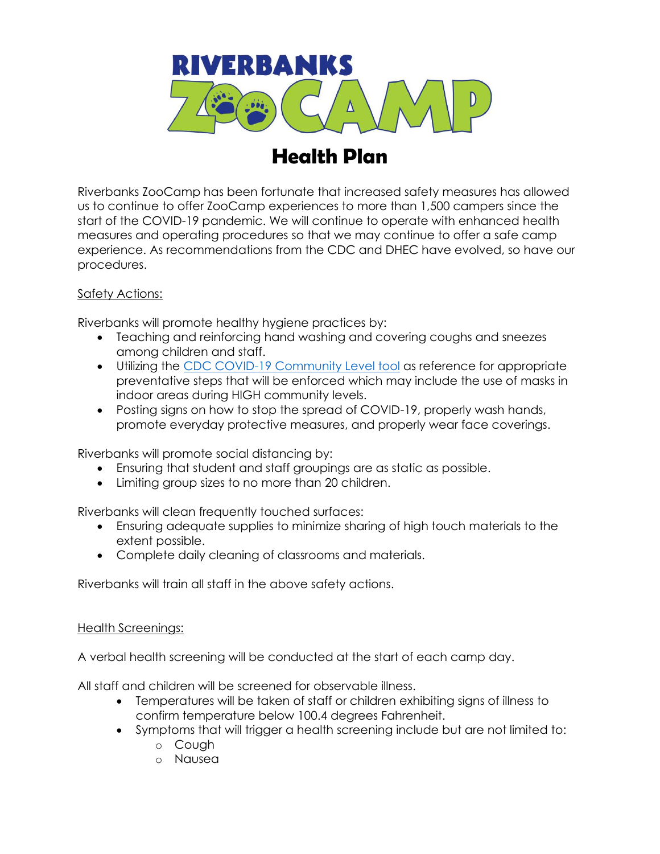

## **Health Plan**

Riverbanks ZooCamp has been fortunate that increased safety measures has allowed us to continue to offer ZooCamp experiences to more than 1,500 campers since the start of the COVID-19 pandemic. We will continue to operate with enhanced health measures and operating procedures so that we may continue to offer a safe camp experience. As recommendations from the CDC and DHEC have evolved, so have our procedures.

## Safety Actions:

Riverbanks will promote healthy hygiene practices by:

- Teaching and reinforcing hand washing and covering coughs and sneezes among children and staff.
- Utilizing the [CDC COVID-19 Community Level tool](https://www.cdc.gov/coronavirus/2019-ncov/your-health/covid-by-county.html) as reference for appropriate preventative steps that will be enforced which may include the use of masks in indoor areas during HIGH community levels.
- Posting signs on how to stop the spread of COVID-19, properly wash hands, promote everyday protective measures, and properly wear face coverings.

Riverbanks will promote social distancing by:

- Ensuring that student and staff groupings are as static as possible.
- Limiting group sizes to no more than 20 children.

Riverbanks will clean frequently touched surfaces:

- Ensuring adequate supplies to minimize sharing of high touch materials to the extent possible.
- Complete daily cleaning of classrooms and materials.

Riverbanks will train all staff in the above safety actions.

## Health Screenings:

A verbal health screening will be conducted at the start of each camp day.

All staff and children will be screened for observable illness.

- Temperatures will be taken of staff or children exhibiting signs of illness to confirm temperature below 100.4 degrees Fahrenheit.
- Symptoms that will trigger a health screening include but are not limited to:
	- o Cough
	- o Nausea